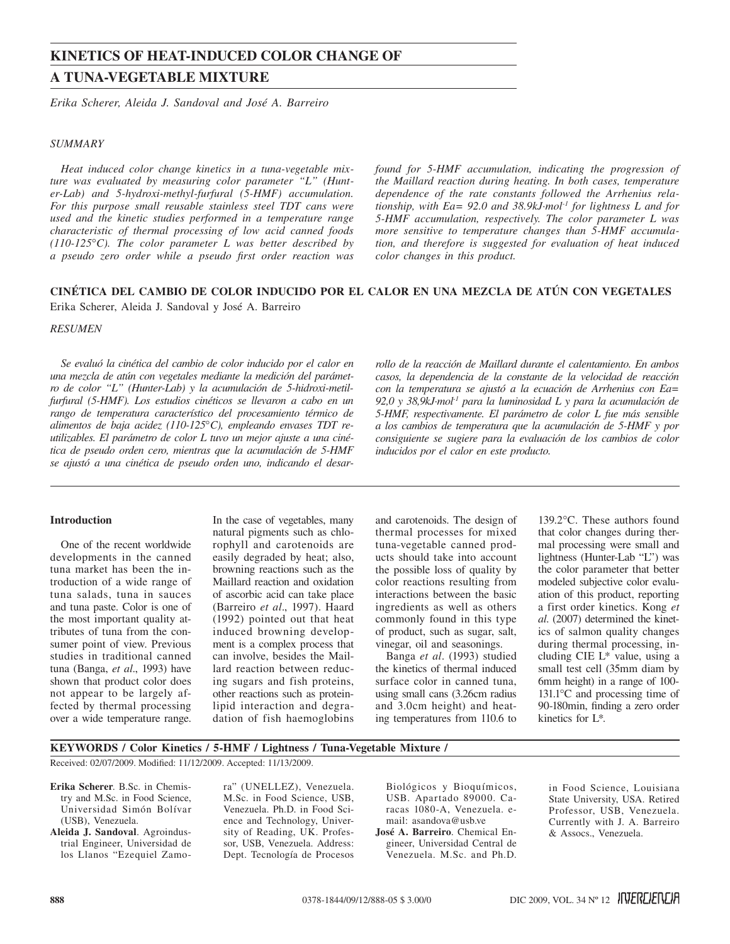# **KINETICS OF HEAT-INDUCED COLOR CHANGE OF A TUNA-VEGETABLE MIXTURE**

*Erika Scherer, Aleida J. Sandoval and José A. Barreiro*

## *SUMMARY*

*Heat induced color change kinetics in a tuna-vegetable mixture was evaluated by measuring color parameter "L" (Hunter-Lab) and 5-hydroxi-methyl-furfural (5-HMF) accumulation. For this purpose small reusable stainless steel TDT cans were used and the kinetic studies performed in a temperature range characteristic of thermal processing of low acid canned foods (110-125*°*C). The color parameter L was better described by a pseudo zero order while a pseudo first order reaction was* 

*found for 5-HMF accumulation, indicating the progression of the Maillard reaction during heating. In both cases, temperature dependence of the rate constants followed the Arrhenius relationship, with Ea= 92.0 and 38.9kJ·mol-1 for lightness L and for 5-HMF accumulation, respectively. The color parameter L was more sensitive to temperature changes than 5-HMF accumulation, and therefore is suggested for evaluation of heat induced color changes in this product.*

# **CINÉTICA DEL CAMBIO DE COLOR INDUCIDO POR EL CALOR EN UNA MEZCLA DE ATÚN CON VEGETALES**

Erika Scherer, Aleida J. Sandoval y José A. Barreiro

#### *RESUMEN*

*Se evaluó la cinética del cambio de color inducido por el calor en una mezcla de atún con vegetales mediante la medición del parámetro de color "L" (Hunter-Lab) y la acumulación de 5-hidroxi-metilfurfural (5-HMF). Los estudios cinéticos se llevaron a cabo en un rango de temperatura característico del procesamiento térmico de alimentos de baja acidez (110-125*°*C), empleando envases TDT reutilizables. El parámetro de color L tuvo un mejor ajuste a una cinética de pseudo orden cero, mientras que la acumulación de 5-HMF se ajustó a una cinética de pseudo orden uno, indicando el desar-* *rollo de la reacción de Maillard durante el calentamiento. En ambos casos, la dependencia de la constante de la velocidad de reacción con la temperatura se ajustó a la ecuación de Arrhenius con Ea= 92,0 y 38,9kJ·mol-1 para la luminosidad L y para la acumulación de 5-HMF, respectivamente. El parámetro de color L fue más sensible a los cambios de temperatura que la acumulación de 5-HMF y por consiguiente se sugiere para la evaluación de los cambios de color inducidos por el calor en este producto.*

# **Introduction**

One of the recent worldwide developments in the canned tuna market has been the introduction of a wide range of tuna salads, tuna in sauces and tuna paste. Color is one of the most important quality attributes of tuna from the consumer point of view. Previous studies in traditional canned tuna (Banga, *et al*., 1993) have shown that product color does not appear to be largely affected by thermal processing over a wide temperature range.

In the case of vegetables, many natural pigments such as chlorophyll and carotenoids are easily degraded by heat; also, browning reactions such as the Maillard reaction and oxidation of ascorbic acid can take place (Barreiro *et al*., 1997). Haard (1992) pointed out that heat induced browning development is a complex process that can involve, besides the Maillard reaction between reducing sugars and fish proteins, other reactions such as proteinlipid interaction and degradation of fish haemoglobins

and carotenoids. The design of thermal processes for mixed tuna-vegetable canned products should take into account the possible loss of quality by color reactions resulting from interactions between the basic ingredients as well as others commonly found in this type of product, such as sugar, salt, vinegar, oil and seasonings.

Banga *et al*. (1993) studied the kinetics of thermal induced surface color in canned tuna, using small cans (3.26cm radius and 3.0cm height) and heating temperatures from 110.6 to

139.2°C. These authors found that color changes during thermal processing were small and lightness (Hunter-Lab "L") was the color parameter that better modeled subjective color evaluation of this product, reporting a first order kinetics. Kong *et al*. (2007) determined the kinetics of salmon quality changes during thermal processing, including CIE L\* value, using a small test cell (35mm diam by 6mm height) in a range of 100- 131.1°C and processing time of 90-180min, finding a zero order kinetics for L\*.

# **Keywords / Color Kinetics / 5-HMF / Lightness / Tuna-Vegetable Mixture /** Received: 02/07/2009. Modified: 11/12/2009. Accepted: 11/13/2009.

**Erika Scherer**. B.Sc. in Chemistry and M.Sc. in Food Science, Universidad Simón Bolívar (USB), Venezuela.

**Aleida J. Sandoval**. Agroindustrial Engineer, Universidad de los Llanos "Ezequiel Zamora" (UNELLEZ), Venezuela. M.Sc. in Food Science, USB, Venezuela. Ph.D. in Food Science and Technology, University of Reading, UK. Professor, USB, Venezuela. Address: Dept. Tecnología de Procesos

Biológicos y Bioquímicos, USB. Apartado 89000. Caracas 1080-A, Venezuela. email: asandova@usb.ve **José A. Barreiro**. Chemical Engineer, Universidad Central de Venezuela. M.Sc. and Ph.D.

in Food Science, Louisiana State University, USA. Retired Professor, USB, Venezuela. Currently with J. A. Barreiro & Assocs., Venezuela.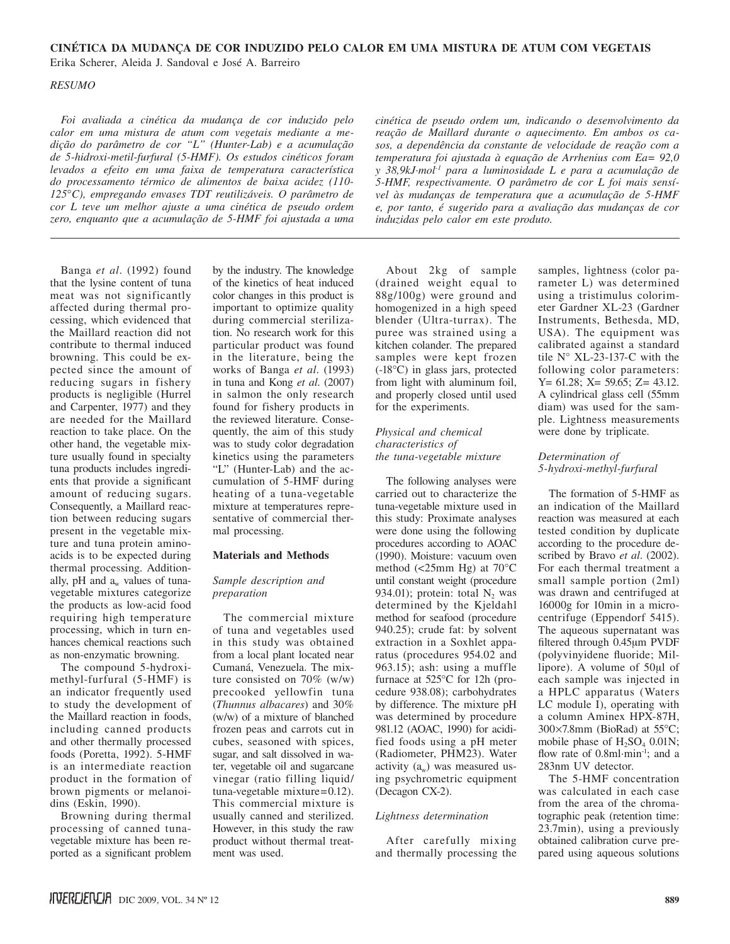# **CINÉTICA DA MUDANÇA DE COR INDUZIDO PELO CALOR EM UMA MISTURA DE ATUM COM VEGETAIS**

Erika Scherer, Aleida J. Sandoval e José A. Barreiro

#### *RESUMO*

*Foi avaliada a cinética da mudança de cor induzido pelo calor em uma mistura de atum com vegetais mediante a medição do parâmetro de cor "L" (Hunter-Lab) e a acumulação de 5-hidroxi-metil-furfural (5-HMF). Os estudos cinéticos foram levados a efeito em uma faixa de temperatura característica do processamento térmico de alimentos de baixa acidez (110- 125*°*C), empregando envases TDT reutilizáveis. O parâmetro de cor L teve um melhor ajuste a uma cinética de pseudo ordem zero, enquanto que a acumulação de 5-HMF foi ajustada a uma* 

*cinética de pseudo ordem um, indicando o desenvolvimento da reação de Maillard durante o aquecimento. Em ambos os casos, a dependência da constante de velocidade de reação com a temperatura foi ajustada à equação de Arrhenius com Ea= 92,0 y 38,9kJ·mol-1 para a luminosidade L e para a acumulação de 5-HMF, respectivamente. O parâmetro de cor L foi mais sensível às mudanças de temperatura que a acumulação de 5-HMF e, por tanto, é sugerido para a avaliação das mudanças de cor induzidas pelo calor em este produto.*

Banga *et al*. (1992) found that the lysine content of tuna meat was not significantly affected during thermal processing, which evidenced that the Maillard reaction did not contribute to thermal induced browning. This could be expected since the amount of reducing sugars in fishery products is negligible (Hurrel and Carpenter, 1977) and they are needed for the Maillard reaction to take place. On the other hand, the vegetable mixture usually found in specialty tuna products includes ingredients that provide a significant amount of reducing sugars. Consequently, a Maillard reaction between reducing sugars present in the vegetable mixture and tuna protein aminoacids is to be expected during thermal processing. Additionally, pH and  $a_w$  values of tunavegetable mixtures categorize the products as low-acid food requiring high temperature processing, which in turn enhances chemical reactions such as non-enzymatic browning.

The compound 5-hydroximethyl-furfural (5-HMF) is an indicator frequently used to study the development of the Maillard reaction in foods, including canned products and other thermally processed foods (Poretta, 1992). 5-HMF is an intermediate reaction product in the formation of brown pigments or melanoidins (Eskin, 1990).

Browning during thermal processing of canned tunavegetable mixture has been reported as a significant problem

by the industry. The knowledge of the kinetics of heat induced color changes in this product is important to optimize quality during commercial sterilization. No research work for this particular product was found in the literature, being the works of Banga *et al*. (1993) in tuna and Kong *et al*. (2007) in salmon the only research found for fishery products in the reviewed literature. Consequently, the aim of this study was to study color degradation kinetics using the parameters "L" (Hunter-Lab) and the accumulation of 5-HMF during heating of a tuna-vegetable mixture at temperatures representative of commercial thermal processing.

# **Materials and Methods**

#### *Sample description and preparation*

The commercial mixture of tuna and vegetables used in this study was obtained from a local plant located near Cumaná, Venezuela. The mixture consisted on 70% (w/w) precooked yellowfin tuna (*Thunnus albacares*) and 30% (w/w) of a mixture of blanched frozen peas and carrots cut in cubes, seasoned with spices, sugar, and salt dissolved in water, vegetable oil and sugarcane vinegar (ratio filling liquid/ tuna-vegetable mixture=0.12). This commercial mixture is usually canned and sterilized. However, in this study the raw product without thermal treatment was used.

About 2kg of sample (drained weight equal to 88g/100g) were ground and homogenized in a high speed blender (Ultra-turrax). The puree was strained using a kitchen colander. The prepared samples were kept frozen (-18°C) in glass jars, protected from light with aluminum foil, and properly closed until used for the experiments.

## *Physical and chemical characteristics of the tuna-vegetable mixture*

The following analyses were carried out to characterize the tuna-vegetable mixture used in this study: Proximate analyses were done using the following procedures according to AOAC (1990). Moisture: vacuum oven method (<25mm Hg) at 70°C until constant weight (procedure 934.01); protein: total  $N_2$  was determined by the Kjeldahl method for seafood (procedure 940.25); crude fat: by solvent extraction in a Soxhlet apparatus (procedures 954.02 and 963.15); ash: using a muffle furnace at 525°C for 12h (procedure 938.08); carbohydrates by difference. The mixture pH was determined by procedure 981.12 (AOAC, 1990) for acidified foods using a pH meter (Radiometer, PHM23). Water activity  $(a_w)$  was measured using psychrometric equipment (Decagon CX-2).

## *Lightness determination*

After carefully mixing and thermally processing the samples, lightness (color parameter L) was determined using a tristimulus colorimeter Gardner XL-23 (Gardner Instruments, Bethesda, MD, USA). The equipment was calibrated against a standard tile N° XL-23-137-C with the following color parameters: Y= 61.28; X= 59.65; Z= 43.12. A cylindrical glass cell (55mm diam) was used for the sample. Lightness measurements were done by triplicate.

# *Determination of 5-hydroxi-methyl-furfural*

The formation of 5-HMF as an indication of the Maillard reaction was measured at each tested condition by duplicate according to the procedure described by Bravo *et al*. (2002). For each thermal treatment a small sample portion (2ml) was drawn and centrifuged at 16000g for 10min in a microcentrifuge (Eppendorf 5415). The aqueous supernatant was filtered through 0.45μm PVDF (polyvinyidene fluoride; Millipore). A volume of 50μl of each sample was injected in a HPLC apparatus (Waters LC module I), operating with a column Aminex HPX-87H, 300×7.8mm (BioRad) at 55°C; mobile phase of  $H_2SO_4$  0.01N; flow rate of 0.8ml·min<sup>-1</sup>; and a 283nm UV detector.

The 5-HMF concentration was calculated in each case from the area of the chromatographic peak (retention time: 23.7min), using a previously obtained calibration curve prepared using aqueous solutions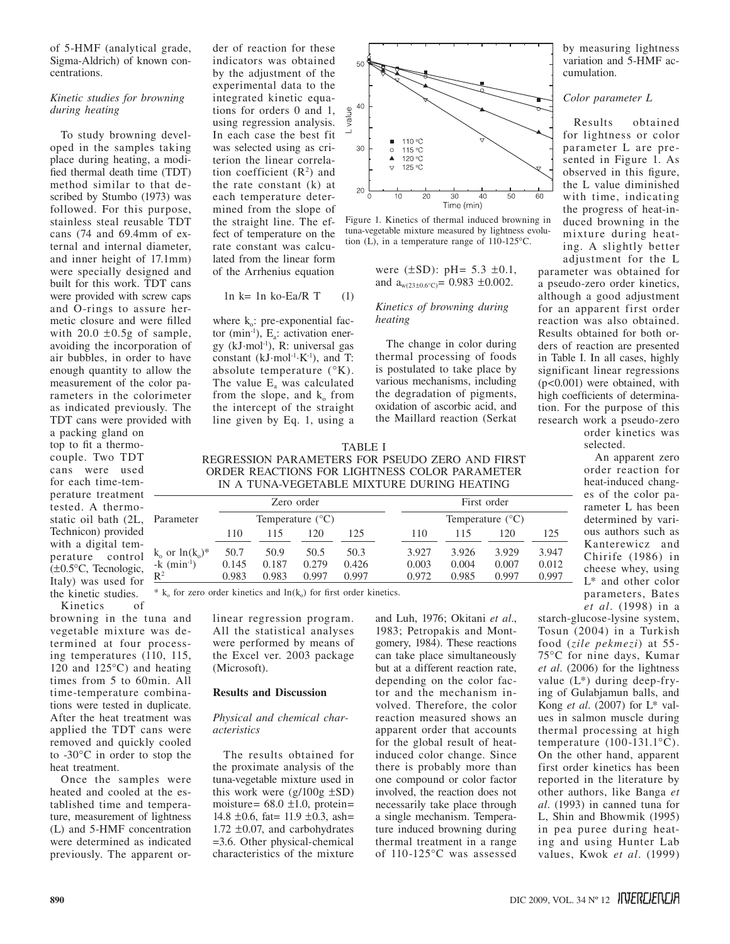of 5-HMF (analytical grade, Sigma-Aldrich) of known concentrations.

## *Kinetic studies for browning during heating*

To study browning developed in the samples taking place during heating, a modified thermal death time (TDT) method similar to that described by Stumbo (1973) was followed. For this purpose, stainless steal reusable TDT cans (74 and 69.4mm of external and internal diameter, and inner height of 17.1mm) were specially designed and built for this work. TDT cans were provided with screw caps and O-rings to assure hermetic closure and were filled with  $20.0 \pm 0.5$ g of sample, avoiding the incorporation of air bubbles, in order to have enough quantity to allow the measurement of the color parameters in the colorimeter as indicated previously. The TDT cans were provided with

a packing gland on top to fit a thermocouple. Two TDT cans were used for each time-temperature treatment tested. A thermostatic oil bath (2L, Technicon) provided with a digital temperature control (±0.5°C, Tecnologic, Italy) was used for the kinetic studies.

Kinetics of

browning in the tuna and vegetable mixture was determined at four processing temperatures (110, 115, 120 and 125°C) and heating times from 5 to 60min. All time-temperature combinations were tested in duplicate. After the heat treatment was applied the TDT cans were removed and quickly cooled to -30°C in order to stop the heat treatment.

Once the samples were heated and cooled at the established time and temperature, measurement of lightness (L) and 5-HMF concentration were determined as indicated previously. The apparent order of reaction for these indicators was obtained by the adjustment of the experimental data to the integrated kinetic equations for orders 0 and 1, using regression analysis. In each case the best fit was selected using as criterion the linear correlation coefficient  $(R^2)$  and the rate constant (k) at each temperature determined from the slope of the straight line. The effect of temperature on the rate constant was calculated from the linear form of the Arrhenius equation

#### $1n k= 1n k0-Ea/R T$  (1)

where  $k_0$ : pre-exponential factor (min<sup>-1</sup>),  $E_a$ : activation energy (kJ·mol-1), R: universal gas constant  $(kJ \cdot mol^{-1} \cdot K^{-1})$ , and T: absolute temperature (°K). The value  $E_a$  was calculated from the slope, and  $k_0$  from the intercept of the straight line given by Eq. 1, using a



Figure 1. Kinetics of thermal induced browning in tuna-vegetable mixture measured by lightness evolution (L), in a temperature range of 110-125°C.

were  $(\pm SD)$ : pH= 5.3  $\pm 0.1$ , and  $a_{w(23+0.6°C)} = 0.983 \pm 0.002$ .

# *Kinetics of browning during heating*

The change in color during thermal processing of foods is postulated to take place by various mechanisms, including the degradation of pigments, oxidation of ascorbic acid, and the Maillard reaction (Serkat by measuring lightness variation and 5-HMF accumulation.

# *Color parameter L*

Results obtained for lightness or color parameter L are presented in Figure 1. As observed in this figure, the L value diminished with time, indicating the progress of heat-induced browning in the mixture during heating. A slightly better adjustment for the L

parameter was obtained for a pseudo-zero order kinetics, although a good adjustment for an apparent first order reaction was also obtained. Results obtained for both orders of reaction are presented in Table I. In all cases, highly significant linear regressions (p<0.001) were obtained, with high coefficients of determination. For the purpose of this research work a pseudo-zero order kinetics was

selected.

An apparent zero order reaction for heat-induced changes of the color parameter L has been determined by various authors such as Kanterewicz and Chirife (1986) in cheese whey, using L\* and other color parameters, Bates *et al*. (1998) in a

Regression parameters for pseudo zero and first order reactions for lightness color parameter in a tuna-vegetable mixture during heating

Table I

|                           | Zero order<br>Temperature $(^{\circ}C)$ |       |       |       | First order               |       |       |       |
|---------------------------|-----------------------------------------|-------|-------|-------|---------------------------|-------|-------|-------|
| Parameter                 |                                         |       |       |       | Temperature $(^{\circ}C)$ |       |       |       |
|                           | 110                                     | 115   | 120   | 125   | 110                       | 115   | 120   | 125   |
| $k_0$ or $ln(k_0)^*$      | 50.7                                    | 50.9  | 50.5  | 50.3  | 3.927                     | 3.926 | 3.929 | 3.947 |
| $-k$ (min <sup>-1</sup> ) | 0.145                                   | 0.187 | 0.279 | 0.426 | 0.003                     | 0.004 | 0.007 | 0.012 |
| $\mathbb{R}^2$            | 0.983                                   | 0.983 | 0.997 | 0.997 | 0.972                     | 0.985 | 0.997 | 0.997 |

 $*$  k<sub>o</sub> for zero order kinetics and  $ln(k_0)$  for first order kinetics.

linear regression program. All the statistical analyses were performed by means of the Excel ver. 2003 package (Microsoft).

#### **Results and Discussion**

#### *Physical and chemical characteristics*

The results obtained for the proximate analysis of the tuna-vegetable mixture used in this work were  $(g/100g \pm SD)$ moisture=  $68.0 \pm 1.0$ , protein= 14.8  $\pm$ 0.6, fat= 11.9  $\pm$ 0.3, ash= 1.72 ±0.07, and carbohydrates =3.6. Other physical-chemical characteristics of the mixture and Luh, 1976; Okitani *et al*., 1983; Petropakis and Montgomery, 1984). These reactions can take place simultaneously but at a different reaction rate, depending on the color factor and the mechanism involved. Therefore, the color reaction measured shows an apparent order that accounts for the global result of heatinduced color change. Since there is probably more than one compound or color factor involved, the reaction does not necessarily take place through a single mechanism. Temperature induced browning during thermal treatment in a range of 110-125°C was assessed

starch-glucose-lysine system, Tosun (2004) in a Turkish food (*zile pekmezi*) at 55- 75°C for nine days, Kumar *et al*. (2006) for the lightness value (L\*) during deep-frying of Gulabjamun balls, and Kong *et al*. (2007) for L\* values in salmon muscle during thermal processing at high temperature (100-131.1°C). On the other hand, apparent first order kinetics has been reported in the literature by other authors, like Banga *et al*. (1993) in canned tuna for L, Shin and Bhowmik (1995) in pea puree during heating and using Hunter Lab values, Kwok *et al*. (1999)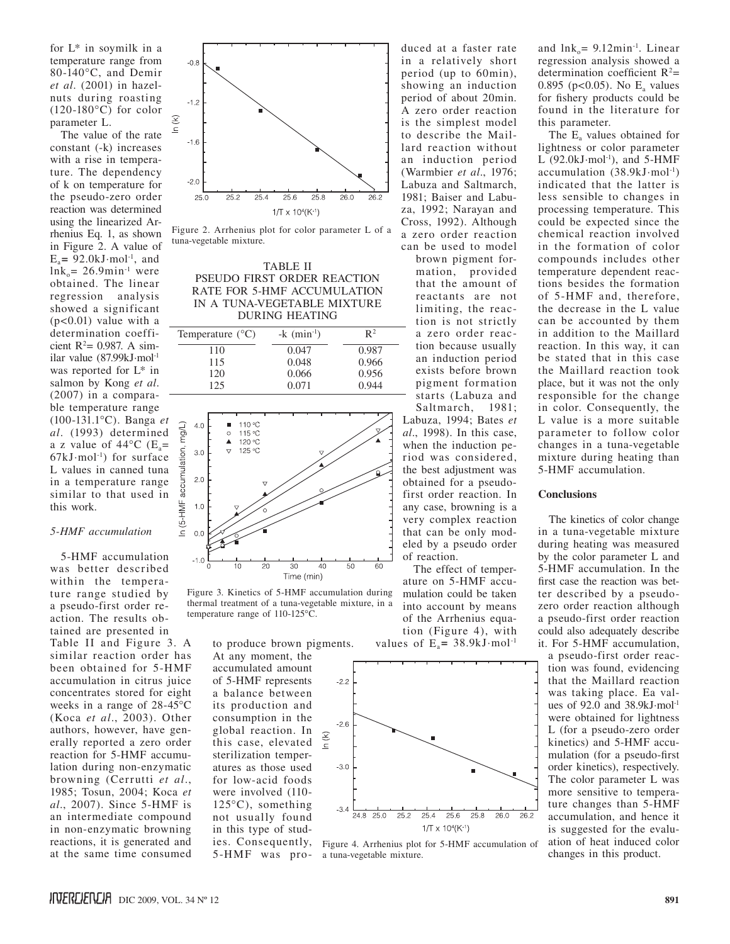for L\* in soymilk in a temperature range from 80-140°C, and Demir *et al*. (2001) in hazelnuts during roasting  $(120-180\degree C)$  for color parameter L.

The value of the rate constant (-k) increases with a rise in temperature. The dependency of k on temperature for the pseudo-zero order reaction was determined using the linearized Arrhenius Eq. 1, as shown in Figure 2. A value of  $E_a$ = 92.0kJ·mol<sup>-1</sup>, and  $ln k_0$  = 26.9min<sup>-1</sup> were obtained. The linear regression analysis showed a significant  $(p<0.01)$  value with a determination coefficient  $R^2$ = 0.987. A similar value (87.99kJ·mol-1 was reported for L\* in salmon by Kong *et al*. (2007) in a comparable temperature range (100-131.1°C). Banga *et al*. (1993) determined a z value of  $44^{\circ}$ C (E<sub>a</sub>=  $67kJ·mol<sup>-1</sup>$  for surface L values in canned tuna in a temperature range similar to that used in this work.

## *5-HMF accumulation*

5-HMF accumulation was better described within the temperature range studied by a pseudo-first order reaction. The results obtained are presented in Table II and Figure 3. A similar reaction order has been obtained for 5-HMF accumulation in citrus juice concentrates stored for eight weeks in a range of 28-45°C (Koca *et al*., 2003). Other authors, however, have generally reported a zero order reaction for 5-HMF accumulation during non-enzymatic browning (Cerrutti *et al*., 1985; Tosun, 2004; Koca *et al*., 2007). Since 5-HMF is an intermediate compound in non-enzymatic browning reactions, it is generated and at the same time consumed



Figure 2. Arrhenius plot for color parameter L of a tuna-vegetable mixture.

## Table II Pseudo first order reaction rate for 5-HMF accumulation in a tuna-vegetable mixture during heating

| Temperature $(^{\circ}C)$ | $-k \text{ (min-1)}$ | $\mathbb{R}^2$ |  |
|---------------------------|----------------------|----------------|--|
| 110                       | 0.047                | 0.987          |  |
| 115                       | 0.048                | 0.966          |  |
| 120                       | 0.066                | 0.956          |  |
| 125                       | 0.071                | 0.944          |  |



Figure 3. Kinetics of 5-HMF accumulation during thermal treatment of a tuna-vegetable mixture, in a temperature range of 110-125°C.

to produce brown pigments.

At any moment, the accumulated amount of 5-HMF represents a balance between its production and consumption in the global reaction. In this case, elevated sterilization temperatures as those used for low-acid foods were involved (110-  $125^{\circ}$ C), something not usually found in this type of stud-5-HMF was produced at a faster rate in a relatively short period (up to 60min), showing an induction period of about 20min. A zero order reaction is the simplest model to describe the Maillard reaction without an induction period (Warmbier *et al*., 1976; Labuza and Saltmarch, 1981; Baiser and Labuza, 1992; Narayan and Cross, 1992). Although a zero order reaction can be used to model

brown pigment formation, provided that the amount of reactants are not limiting, the reaction is not strictly a zero order reaction because usually an induction period exists before brown pigment formation starts (Labuza and Saltmarch, 1981; Labuza, 1994; Bates *et al*., 1998). In this case, when the induction period was considered, the best adjustment was obtained for a pseudofirst order reaction. In any case, browning is a very complex reaction that can be only modeled by a pseudo order of reaction.

The effect of temperature on 5-HMF accumulation could be taken into account by means of the Arrhenius equation (Figure 4), with values of  $E_a$ = 38.9kJ·mol<sup>-1</sup>



ies. Consequently, Figure 4. Arrhenius plot for 5-HMF accumulation of a tuna-vegetable mixture.

and  $ln k_0$  = 9.12min<sup>-1</sup>. Linear regression analysis showed a determination coefficient  $R^2$ = 0.895 ( $p < 0.05$ ). No E<sub>a</sub> values for fishery products could be found in the literature for this parameter.

The E<sub>s</sub> values obtained for lightness or color parameter L  $(92.0 \text{kJ·mol<sup>-1</sup>})$ , and 5-HMF accumulation  $(38.9 \text{kJ} \cdot \text{mol}^{-1})$ indicated that the latter is less sensible to changes in processing temperature. This could be expected since the chemical reaction involved in the formation of color compounds includes other temperature dependent reactions besides the formation of 5-HMF and, therefore, the decrease in the L value can be accounted by them in addition to the Maillard reaction. In this way, it can be stated that in this case the Maillard reaction took place, but it was not the only responsible for the change in color. Consequently, the L value is a more suitable parameter to follow color changes in a tuna-vegetable mixture during heating than 5-HMF accumulation.

# **Conclusions**

The kinetics of color change in a tuna-vegetable mixture during heating was measured by the color parameter L and 5-HMF accumulation. In the first case the reaction was better described by a pseudozero order reaction although a pseudo-first order reaction could also adequately describe it. For 5-HMF accumulation,

a pseudo-first order reaction was found, evidencing that the Maillard reaction was taking place. Ea values of 92.0 and 38.9kJ·mol-1 were obtained for lightness L (for a pseudo-zero order kinetics) and 5-HMF accumulation (for a pseudo-first order kinetics), respectively. The color parameter L was more sensitive to temperature changes than 5-HMF accumulation, and hence it is suggested for the evaluation of heat induced color changes in this product.